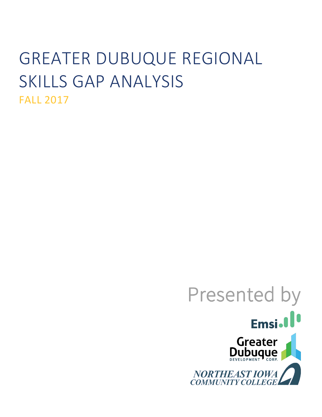# GREATER DUBUQUE REGIONAL SKILLS GAP ANALYSIS FALL 2017

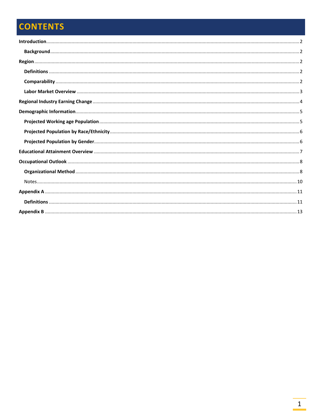# **CONTENTS**

г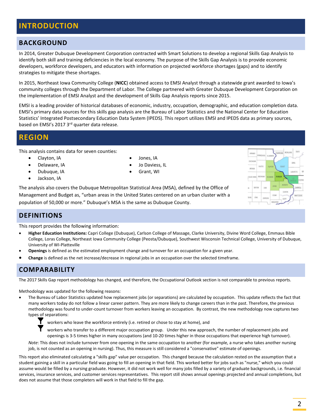# <span id="page-2-0"></span>**INTRODUCTION**

### <span id="page-2-1"></span>**BACKGROUND**

In 2014, Greater Dubuque Development Corporation contracted with Smart Solutions to develop a regional Skills Gap Analysis to identify both skill and training deficiencies in the local economy. The purpose of the Skills Gap Analysis is to provide economic developers, workforce developers, and educators with information on projected workforce shortages (gaps) and to identify strategies to mitigate these shortages.

In 2015, Northeast Iowa Community College (**NICC**) obtained access to EMSI Analyst through a statewide grant awarded to Iowa's community colleges through the Department of Labor. The College partnered with Greater Dubuque Development Corporation on the implementation of EMSI Analyst and the development of Skills Gap Analysis reports since 2015.

EMSI is a leading provider of historical databases of economic, industry, occupation, demographic, and education completion data. EMSI's primary data sources for this skills gap analysis are the Bureau of Labor Statistics and the National Center for Education Statistics' Integrated Postsecondary Education Data System (IPEDS). This report utilizes EMSI and IPEDS data as primary sources, based on EMSI's 2017 3<sup>rd</sup> quarter data release.

## <span id="page-2-2"></span>**REGION**

This analysis contains data for seven counties:

- Clayton, IA
- Delaware, IA
- Dubuque, IA
- Jackson, IA
- Jones, IA
- Jo Daviess, IL
- Grant, WI

The analysis also covers the Dubuque Metropolitan Statistical Area (MSA), defined by the Office of Management and Budget as, "urban areas in the United States centered on an urban cluster with a population of 50,000 or more." Dubuque's MSA is the same as Dubuque County.

## <span id="page-2-3"></span>**DEFINITIONS**

This report provides the following information:

- **Higher Education Institutions:** Capri College (Dubuque), Carlson College of Massage, Clarke University, Divine Word College, Emmaus Bible College, Loras College, Northeast Iowa Community College (Peosta/Dubuque), Southwest Wisconsin Technical College, University of Dubuque, University of WI-Platteville
- **Openings** is defined as the estimated employment change and turnover for an occupation for a given year.
- <span id="page-2-4"></span>• **Change** is defined as the net increase/decrease in regional jobs in an occupation over the selected timeframe.

## **COMPARABILITY**

The 2017 Skills Gap report methodology has changed, and therefore, the Occupational Outlook section is not comparable to previous reports.

Methodology was updated for the following reasons:

• The Bureau of Labor Statistics updated how replacement jobs (or separations) are calculated by occupation. This update reflects the fact that many workers today do not follow a linear career pattern. They are more likely to change careers than in the past. Therefore, the previous methodology was found to under-count turnover from workers leaving an occupation. By contrast, the new methodology now captures two types of separations:

workers who leave the workforce entirely (i.e. retired or chose to stay at home), and

workers who transfer to a different major occupation group. Under this new approach, the number of replacement jobs and openings is 3-5 times higher in many occupations (and 10-20 times higher in those occupations that experience high turnover).

*Note*: This does not include turnover from one opening in the same occupation to another (for example, a nurse who takes another nursing job, is not counted as an opening in nursing). Thus, this measure is still considered a "conservative" estimate of openings.

This report also eliminated calculating a "skills gap" value per occupation. This changed because the calculation rested on the assumption that a student gaining a skill in a particular field was going to fill an opening in that field. This worked better for jobs such as "nurse," which you could assume would be filled by a nursing graduate. However, it did not work well for many jobs filled by a variety of graduate backgrounds, i.e. financial services, insurance services, and customer services representatives. This report still shows annual openings projected and annual completions, but does not assume that those completers will work in that field to fill the gap.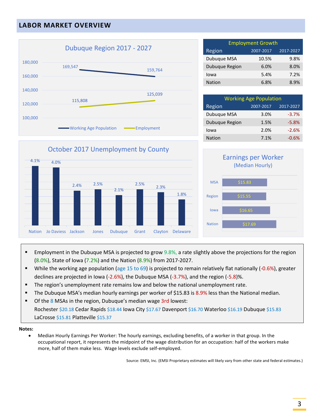# <span id="page-3-0"></span>**LABOR MARKET OVERVIEW**



Employment Growth Region 2007-2017 2017-2027 Dubuque MSA  $10.5\%$  9.8% Dubuque Region 6.0% 8.0% Iowa 5.4% 7.2% Nation 6.8% 8.9%

| <b>Working Age Population</b>    |      |         |  |  |  |  |  |
|----------------------------------|------|---------|--|--|--|--|--|
| Region<br>2007-2017<br>2017-2027 |      |         |  |  |  |  |  |
| Dubuque MSA                      | 3.0% | $-3.7%$ |  |  |  |  |  |
| Dubuque Region                   | 1.5% | $-5.8%$ |  |  |  |  |  |
| Iowa                             | 2.0% | $-2.6%$ |  |  |  |  |  |
| <b>Nation</b>                    | 7.1% | $-0.6%$ |  |  |  |  |  |





- **Employment in the Dubuque MSA is projected to grow**  $9.8\%$ , a rate slightly above the projections for the region (8.0%), State of Iowa (7.2%) and the Nation (8.9%) from 2017-2027.
- While the working age population (age 15 to 69) is projected to remain relatively flat nationally (-0.6%), greater declines are projected in Iowa (-2.6%), the Dubuque MSA (-3.7%), and the region (-5.8)%.
- **The region's unemployment rate remains low and below the national unemployment rate.**
- The Dubuque MSA's median hourly earnings per worker of \$15.83 is 8.9% less than the National median.
- Of the 8 MSAs in the region, Dubuque's median wage 3rd lowest:

Rochester \$20.18 Cedar Rapids \$18.44 Iowa City \$17.67 Davenport \$16.70 Waterloo \$16.19 Dubuque \$15.83 LaCrosse \$15.81 Platteville \$15.37

#### **Notes:**

• Median Hourly Earnings Per Worker: The hourly earnings, excluding benefits, of a worker in that group. In the occupational report, it represents the midpoint of the wage distribution for an occupation: half of the workers make more, half of them make less. Wage levels exclude self-employed.

Source: EMSI, Inc. (EMSI Proprietary estimates will likely vary from other state and federal estimates.)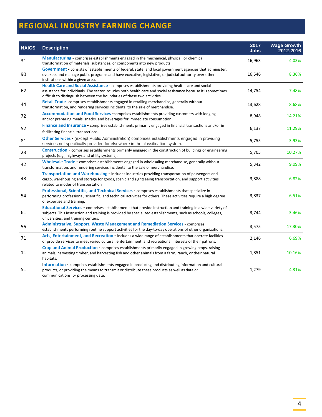# <span id="page-4-0"></span>**REGIONAL INDUSTRY EARNING CHANGE**

| <b>NAICS</b> | <b>Description</b>                                                                                                                                                                                                                                                                          | 2017<br><b>Jobs</b> | <b>Wage Growth</b><br>2012-2016 |
|--------------|---------------------------------------------------------------------------------------------------------------------------------------------------------------------------------------------------------------------------------------------------------------------------------------------|---------------------|---------------------------------|
| 31           | Manufacturing - comprises establishments engaged in the mechanical, physical, or chemical<br>transformation of materials, substances, or components into new products.                                                                                                                      | 16,963              | 4.03%                           |
| 90           | Government - consists of establishments of federal, state, and local government agencies that administer,<br>oversee, and manage public programs and have executive, legislative, or judicial authority over other<br>institutions within a given area.                                     | 16,546              | 8.36%                           |
| 62           | Health Care and Social Assistance - comprises establishments providing health care and social<br>assistance for individuals. The sector includes both health care and social assistance because it is sometimes<br>difficult to distinguish between the boundaries of these two activities. | 14,754              | 7.48%                           |
| 44           | <b>Retail Trade</b> -comprises establishments engaged in retailing merchandise, generally without<br>transformation, and rendering services incidental to the sale of merchandise.                                                                                                          | 13,628              | 8.68%                           |
| 72           | Accommodation and Food Services -comprises establishments providing customers with lodging<br>and/or preparing meals, snacks, and beverages for immediate consumption.                                                                                                                      | 8,948               | 14.21%                          |
| 52           | Finance and Insurance - comprises establishments primarily engaged in financial transactions and/or in<br>facilitating financial transactions.                                                                                                                                              | 6,137               | 11.29%                          |
| 81           | Other Services - (except Public Administration) comprises establishments engaged in providing<br>services not specifically provided for elsewhere in the classification system.                                                                                                             | 5,755               | 3.93%                           |
| 23           | Construction - comprises establishments primarily engaged in the construction of buildings or engineering<br>projects (e.g., highways and utility systems).                                                                                                                                 | 5,705               | 10.27%                          |
| 42           | Wholesale Trade - comprises establishments engaged in wholesaling merchandise, generally without<br>transformation, and rendering services incidental to the sale of merchandise.                                                                                                           | 5,342               | 9.09%                           |
| 48           | Transportation and Warehousing - includes industries providing transportation of passengers and<br>cargo, warehousing and storage for goods, scenic and sightseeing transportation, and support activities<br>related to modes of transportation                                            | 3,888               | 6.82%                           |
| 54           | Professional, Scientific, and Technical Services - comprises establishments that specialize in<br>performing professional, scientific, and technical activities for others. These activities require a high degree<br>of expertise and training.                                            | 3,837               | 6.51%                           |
| 61           | <b>Educational Services - comprises establishments that provide instruction and training in a wide variety of</b><br>subjects. This instruction and training is provided by specialized establishments, such as schools, colleges,<br>universities, and training centers.                   | 3,744               | 3.46%                           |
| 56           | <b>Administrative, Support, Waste Management and Remediation Services - comprises</b><br>establishments performing routine support activities for the day-to-day operations of other organizations.                                                                                         | 3,575               | 17.30%                          |
| 71           | Arts, Entertainment, and Recreation - includes a wide range of establishments that operate facilities<br>or provide services to meet varied cultural, entertainment, and recreational interests of their patrons.                                                                           | 2,146               | 6.69%                           |
| 11           | Crop and Animal Production - comprises establishments primarily engaged in growing crops, raising<br>animals, harvesting timber, and harvesting fish and other animals from a farm, ranch, or their natural<br>habitats.                                                                    | 1,851               | 10.16%                          |
| 51           | Information - comprises establishments engaged in producing and distributing information and cultural<br>products, or providing the means to transmit or distribute these products as well as data or<br>communications, or processing data.                                                | 1,279               | 4.31%                           |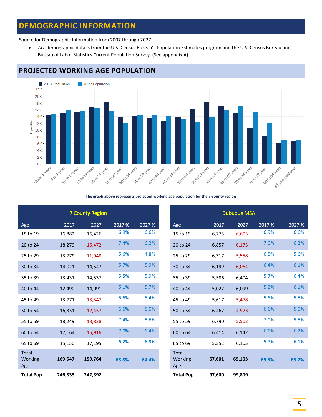# <span id="page-5-0"></span>**DEMOGRAPHIC INFORMATION**

Source for Demographic Information from 2007 through 2027:

• *ALL* demographic data is from the U.S. Census Bureau's Population Estimates program and the U.S. Census Bureau and Bureau of Labor Statistics Current Population Survey. (See appendix A).



# <span id="page-5-1"></span>**PROJECTED WORKING AGE POPULATION**

#### **The graph above represents projected working age population for the 7-county region**

|                         |         | <b>7 County Region</b> |        |        |                                |        | <b>Dubuque MSA</b> |        |        |
|-------------------------|---------|------------------------|--------|--------|--------------------------------|--------|--------------------|--------|--------|
| Age                     | 2017    | 2027                   | 2017 % | 2027 % | Age                            | 2017   | 2027               | 2017 % | 2027 % |
| 15 to 19                | 16,882  | 16,426                 | 6.9%   | 6.6%   | 15 to 19                       | 6,775  | 6,605              | 6.9%   | 6.6%   |
| 20 to 24                | 18,279  | 15,472                 | 7.4%   | 6.2%   | 20 to 24                       | 6,857  | 6,173              | 7.0%   | 6.2%   |
| 25 to 29                | 13,779  | 11,948                 | 5.6%   | 4.8%   | 25 to 29                       | 6,317  | 5,558              | 6.5%   | 5.6%   |
| 30 to 34                | 14,021  | 14,547                 | 5.7%   | 5.9%   | 30 to 34                       | 6,199  | 6,064              | 6.4%   | 6.1%   |
| 35 to 39                | 13,431  | 14,537                 | 5.5%   | 5.9%   | 35 to 39                       | 5,586  | 6,404              | 5.7%   | 6.4%   |
| 40 to 44                | 12,490  | 14,091                 | 5.1%   | 5.7%   | 40 to 44                       | 5,027  | 6,099              | 5.2%   | 6.1%   |
| 45 to 49                | 13,771  | 13,347                 | 5.6%   | 5.4%   | 45 to 49                       | 5,617  | 5,478              | 5.8%   | 5.5%   |
| 50 to 54                | 16,331  | 12,457                 | 6.6%   | 5.0%   | 50 to 54                       | 6,467  | 4,973              | 6.6%   | 5.0%   |
| 55 to 59                | 18,249  | 13,828                 | 7.4%   | 5.6%   | 55 to 59                       | 6,790  | 5,502              | 7.0%   | 5.5%   |
| 60 to 64                | 17,164  | 15,916                 | 7.0%   | 6.4%   | 60 to 64                       | 6,414  | 6,142              | 6.6%   | 6.2%   |
| 65 to 69                | 15,150  | 17,195                 | 6.2%   | 6.9%   | 65 to 69                       | 5,552  | 6,105              | 5.7%   | 6.1%   |
| Total<br>Working<br>Age | 169,547 | 159,764                | 68.8%  | 64.4%  | <b>Total</b><br>Working<br>Age | 67,601 | 65,103             | 69.3%  | 65.2%  |
| <b>Total Pop</b>        | 246,335 | 247,892                |        |        | <b>Total Pop</b>               | 97,600 | 99,809             |        |        |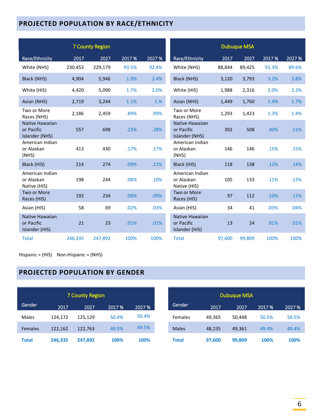# <span id="page-6-0"></span>**PROJECTED POPULATION BY RACE/ETHNICITY**

|                                                 |         | <b>7 County Region</b> |        |        |                                                 |        | <b>Dubuque MSA</b> |        |        |
|-------------------------------------------------|---------|------------------------|--------|--------|-------------------------------------------------|--------|--------------------|--------|--------|
| Race/Ethnicity                                  | 2017    | 2027                   | 2017 % | 2027 % | Race/Ethnicity                                  | 2017   | 2027               | 2017 % | 2027 % |
| White (NHS)                                     | 230,453 | 229,179                | 93.5%  | 92.4%  | White (NHS)                                     | 88,844 | 89,425             | 91.3%  | 89.6%  |
| Black (NHS)                                     | 4,904   | 5,946                  | 1.9%   | 2.4%   | Black (NHS)                                     | 3,120  | 3,793              | 3.2%   | 3.8%   |
| White (HIS)                                     | 4,420   | 5,090                  | 1.7%   | 2.0%   | White (HIS)                                     | 1,988  | 2,316              | 2.0%   | 2.3%   |
| Asian (NHS)                                     | 2,719   | 3,244                  | 1.1%   | 1.%    | Asian (NHS)                                     | 1,449  | 1,760              | 1.4%   | 1.7%   |
| Two or More<br>Races (NHS)                      | 2,186   | 2,459                  | .89%   | .99%   | Two or More<br>Races (NHS)                      | 1,293  | 1,423              | 1.3%   | 1.4%   |
| Native Hawaiian<br>or Pacific<br>Islander (NHS) | 557     | 698                    | .23%   | .28%   | Native Hawaiian<br>or Pacific<br>Islander (NHS) | 392    | 508                | .40%   | .51%   |
| American Indian<br>or Alaskan<br>(NHS)          | 413     | 430                    | .17%   | .17%   | American Indian<br>or Alaskan<br>(NHS)          | 146    | 146                | .15%   | .15%   |
| Black (HIS)                                     | 214     | 274                    | .09%   | .11%   | Black (HIS)                                     | 118    | 138                | .12%   | .14%   |
| American Indian<br>or Alaskan<br>Native (HIS)   | 198     | 244                    | .08%   | .10%   | American Indian<br>or Alaskan<br>Native (HIS)   | 105    | 133                | .11%   | .13%   |
| Two or More<br>Races (HIS)                      | 192     | 234                    | .08%   | .09%   | Two or More<br>Races (HIS)                      | 97     | 112                | .10%   | .11%   |
| Asian (HIS)                                     | 58      | 69                     | .02%   | .03%   | Asian (HIS)                                     | 34     | 41                 | .03%   | .04%   |
| Native Hawaiian<br>or Pacific<br>Islander (HIS) | 21      | 23                     | .01%   | .01%   | Native Hawaiian<br>or Pacific<br>Islander (HIS) | 13     | 14                 | .01%   | .01%   |
| <b>Total</b>                                    | 246,335 | 247,892                | 100%   | 100%   | <b>Total</b>                                    | 97,600 | 99,809             | 100%   | 100%   |

Hispanic = (HIS) Non-Hispanic = (NHS)

# <span id="page-6-1"></span>**PROJECTED POPULATION BY GENDER**

|                |         | <b>7 County Region</b> |        |        |              | <b>Dubuque MSA</b> |        |        |        |
|----------------|---------|------------------------|--------|--------|--------------|--------------------|--------|--------|--------|
| Gender         | 2017    | 2027                   | 2017 % | 2027 % | Gender       | 2017               | 2027   | 2017 % | 2027 % |
| <b>Males</b>   | 124.172 | 125.129                | 50.4%  | 50.4%  | Females      | 49.365             | 50.448 | 50.5%  | 50.5%  |
| <b>Females</b> | 122,162 | 122,763                | 49.5%  | 49.5%  | <b>Males</b> | 48,235             | 49,361 | 49.4%  | 49.4%  |
| <b>Total</b>   | 246,335 | 247,892                | 100%   | 100%   | Total        | 97,600             | 99,809 | 100%   | 100%   |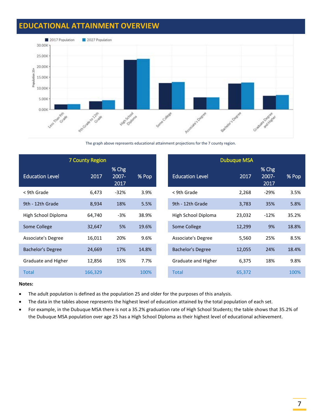# <span id="page-7-0"></span>**EDUCATIONAL ATTAINMENT OVERVIEW**



The graph above represents educational attainment projections for the 7 county region.

|                          | <b>7 County Region</b> |                          |       |                        | <b>Dubuque MSA</b> |                        |       |
|--------------------------|------------------------|--------------------------|-------|------------------------|--------------------|------------------------|-------|
| <b>Education Level</b>   | 2017                   | $%$ Chg<br>2007-<br>2017 | % Pop | <b>Education Level</b> | 2017               | % Chg<br>2007-<br>2017 | % Pop |
| < 9th Grade              | 6,473                  | $-32%$                   | 3.9%  | < 9th Grade            | 2,268              | $-29%$                 | 3.5%  |
| 9th - 12th Grade         | 8,934                  | 18%                      | 5.5%  | 9th - 12th Grade       | 3,783              | 35%                    | 5.8%  |
| High School Diploma      | 64,740                 | $-3%$                    | 38.9% | High School Diploma    | 23,032             | $-12%$                 | 35.2% |
| Some College             | 32,647                 | 5%                       | 19.6% | Some College           | 12,299             | 9%                     | 18.8% |
| Associate's Degree       | 16,011                 | 20%                      | 9.6%  | Associate's Degree     | 5,560              | 25%                    | 8.5%  |
| <b>Bachelor's Degree</b> | 24,669                 | 17%                      | 14.8% | Bachelor's Degree      | 12,055             | 24%                    | 18.4% |
| Graduate and Higher      | 12,856                 | 15%                      | 7.7%  | Graduate and Higher    | 6,375              | 18%                    | 9.8%  |
| <b>Total</b>             | 166,329                |                          | 100%  | <b>Total</b>           | 65,372             |                        | 100%  |

#### **Notes:**

- The adult population is defined as the population 25 and older for the purposes of this analysis.
- The data in the tables above represents the highest level of education attained by the total population of each set.
- For example, in the Dubuque MSA there is not a 35.2% graduation rate of High School Students; the table shows that 35.2% of the Dubuque MSA population over age 25 has a High School Diploma as their highest level of educational achievement.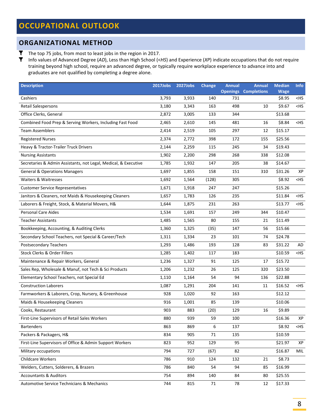### <span id="page-8-1"></span><span id="page-8-0"></span>**ORGANIZATIONAL METHOD**

T The top 75 jobs, from most to least jobs in the region in 2017.

Info values of Advanced Degree (*AD*), Less than High School (<*HS*) and Experience (*XP*) indicate occupations that do not require training beyond high school, require an advanced degree, or typically require workplace experience to advance into and graduates are not qualified by completing a degree alone.

| <b>Description</b>                                              | 2017Jobs | 2027Jobs | <b>Change</b> | <b>Annual</b><br><b>Openings</b> | <b>Annual</b><br><b>Completions</b> | <b>Median</b><br><b>Wage</b> | <b>Info</b>       |
|-----------------------------------------------------------------|----------|----------|---------------|----------------------------------|-------------------------------------|------------------------------|-------------------|
| Cashiers                                                        | 3,793    | 3,933    | 140           | 731                              |                                     | \$8.95                       | <hs< td=""></hs<> |
| <b>Retail Salespersons</b>                                      | 3,180    | 3,343    | 163           | 498                              | 10                                  | \$9.67                       | <hs< td=""></hs<> |
| Office Clerks, General                                          | 2,872    | 3,005    | 133           | 344                              |                                     | \$13.68                      |                   |
| Combined Food Prep & Serving Workers, Including Fast Food       | 2,465    | 2,610    | 145           | 481                              | 16                                  | \$8.84                       | $<$ HS            |
| <b>Team Assemblers</b>                                          | 2,414    | 2,519    | 105           | 297                              | 12                                  | \$15.17                      |                   |
| <b>Registered Nurses</b>                                        | 2,374    | 2,772    | 398           | 172                              | 155                                 | \$25.56                      |                   |
| Heavy & Tractor-Trailer Truck Drivers                           | 2,144    | 2,259    | 115           | 245                              | 34                                  | \$19.43                      |                   |
| <b>Nursing Assistants</b>                                       | 1,902    | 2,200    | 298           | 268                              | 338                                 | \$12.08                      |                   |
| Secretaries & Admin Assistants, not Legal, Medical, & Executive | 1,785    | 1,932    | 147           | 205                              | 38                                  | \$14.67                      |                   |
| <b>General &amp; Operations Managers</b>                        | 1,697    | 1,855    | 158           | 151                              | 310                                 | \$31.26                      | XP                |
| Waiters & Waitresses                                            | 1,692    | 1,564    | (128)         | 305                              |                                     | \$8.92                       | $<$ HS            |
| <b>Customer Service Representatives</b>                         | 1,671    | 1,918    | 247           | 247                              |                                     | \$15.26                      |                   |
| Janitors & Cleaners, not Maids & Housekeeping Cleaners          | 1,657    | 1,783    | 126           | 235                              |                                     | \$11.84                      | <hs< td=""></hs<> |
| Laborers & Freight, Stock, & Material Movers, H&                | 1,644    | 1,875    | 231           | 263                              |                                     | \$13.77                      | $<$ HS            |
| <b>Personal Care Aides</b>                                      | 1,534    | 1,691    | 157           | 249                              | 344                                 | \$10.47                      |                   |
| <b>Teacher Assistants</b>                                       | 1,485    | 1,565    | 80            | 155                              | 21                                  | \$11.49                      |                   |
| Bookkeeping, Accounting, & Auditing Clerks                      | 1,360    | 1,325    | (35)          | 147                              | 56                                  | \$15.66                      |                   |
| Secondary School Teachers, not Special & Career/Tech            | 1,311    | 1,334    | 23            | 101                              | 74                                  | \$24.78                      |                   |
| <b>Postsecondary Teachers</b>                                   | 1,293    | 1,486    | 193           | 128                              | 83                                  | \$31.22                      | AD                |
| Stock Clerks & Order Fillers                                    | 1,285    | 1,402    | 117           | 183                              |                                     | \$10.59                      | <hs< td=""></hs<> |
| Maintenance & Repair Workers, General                           | 1,236    | 1,327    | 91            | 125                              | 17                                  | \$15.72                      |                   |
| Sales Rep, Wholesale & Manuf, not Tech & Sci Products           | 1,206    | 1,232    | 26            | 125                              | 320                                 | \$23.50                      |                   |
| Elementary School Teachers, not Special Ed                      | 1,110    | 1,164    | 54            | 94                               | 136                                 | \$22.88                      |                   |
| <b>Construction Laborers</b>                                    | 1,087    | 1,291    | 204           | 141                              | 11                                  | \$16.52                      | <hs< td=""></hs<> |
| Farmworkers & Laborers, Crop, Nursery, & Greenhouse             | 928      | 1,020    | 92            | 163                              |                                     | \$12.12                      |                   |
| Maids & Housekeeping Cleaners                                   | 916      | 1,001    | 85            | 139                              |                                     | \$10.06                      |                   |
| Cooks, Restaurant                                               | 903      | 883      | (20)          | 129                              | 16                                  | \$9.89                       |                   |
| First-Line Supervisors of Retail Sales Workers                  | 880      | 939      | 59            | 100                              |                                     | \$16.36                      | XP                |
| <b>Bartenders</b>                                               | 863      | 869      | 6             | 137                              |                                     | \$8.92                       | <hs< td=""></hs<> |
| Packers & Packagers, H&                                         | 834      | 905      | 71            | 135                              |                                     | \$10.59                      |                   |
| First-Line Supervisors of Office & Admin Support Workers        | 823      | 952      | 129           | 95                               |                                     | \$21.97                      | ХP                |
| Military occupations                                            | 794      | 727      | (67)          | 82                               |                                     | \$16.87                      | MIL               |
| Childcare Workers                                               | 786      | 910      | 124           | 132                              | 21                                  | \$8.73                       |                   |
| Welders, Cutters, Solderers, & Brazers                          | 786      | 840      | 54            | 94                               | 85                                  | \$16.99                      |                   |
| <b>Accountants &amp; Auditors</b>                               | 754      | 894      | 140           | 84                               | 80                                  | \$25.55                      |                   |
| Automotive Service Technicians & Mechanics                      | 744      | 815      | 71            | 78                               | 12                                  | \$17.33                      |                   |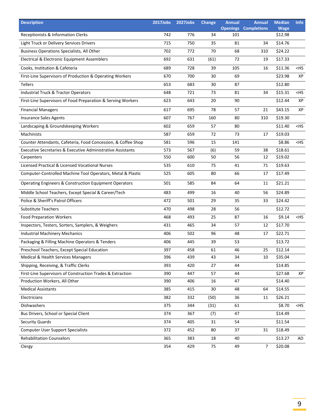| <b>Description</b>                                            | 2017Jobs | 2027Jobs | <b>Change</b> | <b>Annual</b><br><b>Openings</b> | <b>Annual</b><br><b>Completions</b> | <b>Median</b><br><b>Wage</b> | <b>Info</b> |
|---------------------------------------------------------------|----------|----------|---------------|----------------------------------|-------------------------------------|------------------------------|-------------|
| Receptionists & Information Clerks                            | 742      | 776      | 34            | 101                              |                                     | \$12.98                      |             |
| Light Truck or Delivery Services Drivers                      | 715      | 750      | 35            | 81                               | 34                                  | \$14.76                      |             |
| <b>Business Operations Specialists, All Other</b>             | 702      | 772      | 70            | 68                               | 310                                 | \$24.22                      |             |
| Electrical & Electronic Equipment Assemblers                  | 692      | 631      | (61)          | 72                               | 19                                  | \$17.33                      |             |
| Cooks, Institution & Cafeteria                                | 689      | 728      | 39            | 105                              | 16                                  | \$11.36                      | $<$ HS      |
| First-Line Supervisors of Production & Operating Workers      | 670      | 700      | 30            | 69                               |                                     | \$23.98                      | XP          |
| Tellers                                                       | 653      | 683      | 30            | 87                               |                                     | \$12.80                      |             |
| <b>Industrial Truck &amp; Tractor Operators</b>               | 648      | 721      | 73            | 81                               | 34                                  | \$15.31                      | $<$ HS      |
| First-Line Supervisors of Food Preparation & Serving Workers  | 623      | 643      | 20            | 90                               |                                     | \$12.44                      | XP          |
| <b>Financial Managers</b>                                     | 617      | 695      | 78            | 57                               | 21                                  | \$43.15                      | XP          |
| <b>Insurance Sales Agents</b>                                 | 607      | 767      | 160           | 80                               | 310                                 | \$19.30                      |             |
| Landscaping & Groundskeeping Workers                          | 602      | 659      | 57            | 80                               |                                     | \$11.40                      | $<$ HS      |
| <b>Machinists</b>                                             | 587      | 659      | 72            | 73                               | 17                                  | \$19.03                      |             |
| Counter Attendants, Cafeteria, Food Concession, & Coffee Shop | 581      | 596      | 15            | 141                              |                                     | \$8.86                       | $<$ HS      |
| Executive Secretaries & Executive Administrative Assistants   | 573      | 567      | (6)           | 59                               | 38                                  | \$18.61                      |             |
| Carpenters                                                    | 550      | 600      | 50            | 56                               | 12                                  | \$19.02                      |             |
| Licensed Practical & Licensed Vocational Nurses               | 535      | 610      | 75            | 41                               | 71                                  | \$19.63                      |             |
| Computer-Controlled Machine Tool Operators, Metal & Plastic   | 525      | 605      | 80            | 66                               | 17                                  | \$17.49                      |             |
| Operating Engineers & Construction Equipment Operators        | 501      | 585      | 84            | 64                               | 11                                  | \$21.21                      |             |
| Middle School Teachers, Except Special & Career/Tech          | 483      | 499      | 16            | 40                               | 56                                  | \$24.89                      |             |
| Police & Sheriff's Patrol Officers                            | 472      | 501      | 29            | 35                               | 33                                  | \$24.42                      |             |
| <b>Substitute Teachers</b>                                    | 470      | 498      | 28            | 56                               |                                     | \$12.72                      |             |
| <b>Food Preparation Workers</b>                               | 468      | 493      | 25            | 87                               | 16                                  | \$9.14                       | $<$ HS      |
| Inspectors, Testers, Sorters, Samplers, & Weighers            | 431      | 465      | 34            | 57                               | 12                                  | \$17.70                      |             |
| <b>Industrial Machinery Mechanics</b>                         | 406      | 502      | 96            | 48                               | 17                                  | \$22.71                      |             |
| Packaging & Filling Machine Operators & Tenders               | 406      | 445      | 39            | 53                               |                                     | \$13.72                      |             |
| Preschool Teachers, Except Special Education                  | 397      | 458      | 61            | 46                               | 25                                  | \$12.14                      |             |
| Medical & Health Services Managers                            | 396      | 439      | 43            | 34                               | 10                                  | \$35.04                      |             |
| Shipping, Receiving, & Traffic Clerks                         | 393      | 420      | 27            | 44                               |                                     | \$14.85                      |             |
| First-Line Supervisors of Construction Trades & Extraction    | 390      | 447      | 57            | 44                               |                                     | \$27.68                      | ХP          |
| Production Workers, All Other                                 | 390      | 406      | 16            | 47                               |                                     | \$14.40                      |             |
| <b>Medical Assistants</b>                                     | 385      | 415      | 30            | 48                               | 64                                  | \$14.55                      |             |
| Electricians                                                  | 382      | 332      | (50)          | 36                               | 11                                  | \$26.21                      |             |
| Dishwashers                                                   | 375      | 344      | (31)          | 61                               |                                     | \$8.70                       | $<$ HS      |
| Bus Drivers, School or Special Client                         | 374      | 367      | (7)           | 47                               |                                     | \$14.49                      |             |
| <b>Security Guards</b>                                        | 374      | 405      | 31            | 54                               |                                     | \$11.54                      |             |
| <b>Computer User Support Specialists</b>                      | 372      | 452      | 80            | 37                               | 31                                  | \$18.49                      |             |
| <b>Rehabilitation Counselors</b>                              | 365      | 383      | 18            | 40                               |                                     | \$13.27                      | AD          |
| Clergy                                                        | 354      | 429      | 75            | 49                               | $\overline{7}$                      | \$20.08                      |             |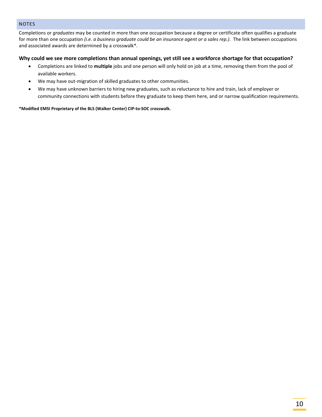#### <span id="page-10-0"></span>NOTES

Completions or *graduates* may be counted in more than one occupation because a degree or certificate often qualifies a graduate for more than one occupation *(i.e. a business graduate could be an insurance agent or a sales rep.)*. The link between occupations and associated awards are determined by a crosswalk\*.

#### **Why could we see more completions than annual openings, yet still see a workforce shortage for that occupation?**

- Completions are linked to **multiple** jobs and one person will only hold on job at a time, removing them from the pool of available workers.
- We may have out-migration of skilled graduates to other communities.
- We may have unknown barriers to hiring new graduates, such as reluctance to hire and train, lack of employer or community connections with students before they graduate to keep them here, and or narrow qualification requirements.

#### **\*Modified EMSI Proprietary of the BLS (Walker Center) CIP-to-SOC crosswalk.**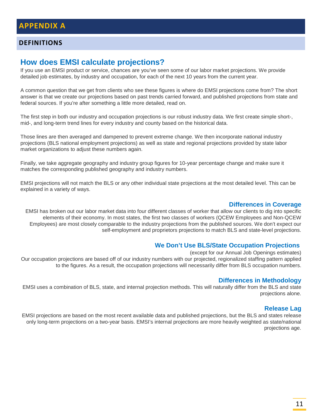### <span id="page-11-1"></span><span id="page-11-0"></span>**DEFINITIONS**

# **How does EMSI calculate projections?**

If you use an EMSI product or service, chances are you've seen some of our labor market projections. We provide detailed job estimates, by industry and occupation, for each of the next 10 years from the current year.

A common question that we get from clients who see these figures is where do EMSI projections come from? The short answer is that we create our projections based on past trends carried forward, and published projections from state and federal sources. If you're after something a little more detailed, read on.

The first step in both our industry and occupation projections is our robust industry data. We first create simple short-, mid-, and long-term trend lines for every industry and county based on the historical data.

Those lines are then averaged and dampened to prevent extreme change. We then incorporate national industry projections (BLS national employment projections) as well as state and regional projections provided by state labor market organizations to adjust these numbers again.

Finally, we take aggregate geography and industry group figures for 10-year percentage change and make sure it matches the corresponding published geography and industry numbers.

EMSI projections will not match the BLS or any other individual state projections at the most detailed level. This can be explained in a variety of ways.

#### **Differences in Coverage**

EMSI has broken out our labor market data into four different classes of worker that allow our clients to dig into specific elements of their economy. In most states, the first two classes of workers (QCEW Employees and Non-QCEW Employees) are most closely comparable to the industry projections from the published sources. We don't expect our self-employment and proprietors projections to match BLS and state-level projections.

#### **We Don't Use BLS/State Occupation Projections**

(except for our Annual Job Openings estimates) Our occupation projections are based off of our industry numbers with our projected, regionalized staffing pattern applied to the figures. As a result, the occupation projections will necessarily differ from BLS occupation numbers.

#### **Differences in Methodology**

EMSI uses a combination of BLS, state, and internal projection methods. This will naturally differ from the BLS and state projections alone.

#### **Release Lag**

EMSI projections are based on the most recent available data and published projections, but the BLS and states release only long-term projections on a two-year basis. EMSI's internal projections are more heavily weighted as state/national projections age.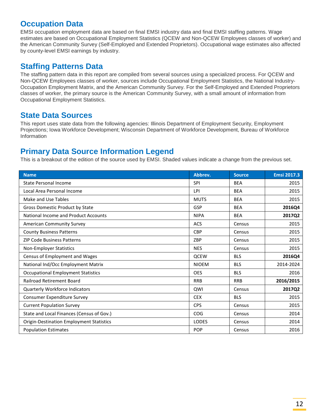# **Occupation Data**

EMSI occupation employment data are based on final EMSI industry data and final EMSI staffing patterns. Wage estimates are based on Occupational Employment Statistics (QCEW and Non-QCEW Employees classes of worker) and the American Community Survey (Self-Employed and Extended Proprietors). Occupational wage estimates also affected by county-level EMSI earnings by industry.

# **Staffing Patterns Data**

The staffing pattern data in this report are compiled from several sources using a specialized process. For QCEW and Non-QCEW Employees classes of worker, sources include Occupational Employment Statistics, the National Industry-Occupation Employment Matrix, and the American Community Survey. For the Self-Employed and Extended Proprietors classes of worker, the primary source is the American Community Survey, with a small amount of information from Occupational Employment Statistics.

# **State Data Sources**

This report uses state data from the following agencies: Illinois Department of Employment Security, Employment Projections; Iowa Workforce Development; Wisconsin Department of Workforce Development, Bureau of Workforce Information

# **Primary Data Source Information Legend**

This is a breakout of the edition of the source used by EMSI. Shaded values indicate a change from the previous set.

| <b>Name</b>                                     | Abbrev.      | <b>Source</b> | <b>Emsi 2017.3</b> |
|-------------------------------------------------|--------------|---------------|--------------------|
| <b>State Personal Income</b>                    | <b>SPI</b>   | <b>BEA</b>    | 2015               |
| Local Area Personal Income                      | LPI          | <b>BEA</b>    | 2015               |
| Make and Use Tables                             | <b>MUTS</b>  | <b>BEA</b>    | 2015               |
| Gross Domestic Product by State                 | GSP          | <b>BEA</b>    | 2016Q4             |
| National Income and Product Accounts            | <b>NIPA</b>  | <b>BEA</b>    | 2017Q2             |
| <b>American Community Survey</b>                | <b>ACS</b>   | Census        | 2015               |
| <b>County Business Patterns</b>                 | <b>CBP</b>   | Census        | 2015               |
| <b>ZIP Code Business Patterns</b>               | ZBP          | Census        | 2015               |
| <b>Non-Employer Statistics</b>                  | <b>NES</b>   | Census        | 2015               |
| Census of Employment and Wages                  | <b>QCEW</b>  | <b>BLS</b>    | 2016Q4             |
| National Ind/Occ Employment Matrix              | <b>NIOEM</b> | <b>BLS</b>    | 2014-2024          |
| <b>Occupational Employment Statistics</b>       | <b>OES</b>   | <b>BLS</b>    | 2016               |
| <b>Railroad Retirement Board</b>                | <b>RRB</b>   | <b>RRB</b>    | 2016/2015          |
| <b>Quarterly Workforce Indicators</b>           | QWI          | Census        | 2017Q2             |
| Consumer Expenditure Survey                     | <b>CEX</b>   | <b>BLS</b>    | 2015               |
| <b>Current Population Survey</b>                | <b>CPS</b>   | Census        | 2015               |
| State and Local Finances (Census of Gov.)       | COG          | Census        | 2014               |
| <b>Origin-Destination Employment Statistics</b> | <b>LODES</b> | Census        | 2014               |
| <b>Population Estimates</b>                     | <b>POP</b>   | Census        | 2016               |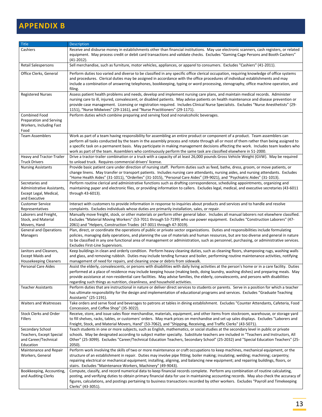# <span id="page-13-0"></span>**APPENDIX B**

| Title                                                                                    | <b>Description</b>                                                                                                                                                                                                                                                                                                                                                                                                                                                                                                             |
|------------------------------------------------------------------------------------------|--------------------------------------------------------------------------------------------------------------------------------------------------------------------------------------------------------------------------------------------------------------------------------------------------------------------------------------------------------------------------------------------------------------------------------------------------------------------------------------------------------------------------------|
| Cashiers                                                                                 | Receive and disburse money in establishments other than financial institutions. May use electronic scanners, cash registers, or related<br>equipment. May process credit or debit card transactions and validate checks. Excludes "Gaming Cage Persons and Booth Cashiers"<br>$(41-2012).$                                                                                                                                                                                                                                     |
| Retail Salespersons                                                                      | Sell merchandise, such as furniture, motor vehicles, appliances, or apparel to consumers. Excludes "Cashiers" (41-2011).                                                                                                                                                                                                                                                                                                                                                                                                       |
| Office Clerks, General                                                                   | Perform duties too varied and diverse to be classified in any specific office clerical occupation, requiring knowledge of office systems<br>and procedures. Clerical duties may be assigned in accordance with the office procedures of individual establishments and may<br>include a combination of answering telephones, bookkeeping, typing or word processing, stenography, office machine operation, and<br>filing.                                                                                                      |
| <b>Registered Nurses</b>                                                                 | Assess patient health problems and needs, develop and implement nursing care plans, and maintain medical records. Administer<br>nursing care to ill, injured, convalescent, or disabled patients. May advise patients on health maintenance and disease prevention or<br>provide case management. Licensing or registration required. Includes Clinical Nurse Specialists. Excludes "Nurse Anesthetists" (29-<br>1151), "Nurse Midwives" (29-1161), and "Nurse Practitioners" (29-1171).                                       |
| <b>Combined Food</b><br>Preparation and Serving<br>Workers, Including Fast<br>Food       | Perform duties which combine preparing and serving food and nonalcoholic beverages.                                                                                                                                                                                                                                                                                                                                                                                                                                            |
| <b>Team Assemblers</b>                                                                   | Work as part of a team having responsibility for assembling an entire product or component of a product. Team assemblers can<br>perform all tasks conducted by the team in the assembly process and rotate through all or most of them rather than being assigned to<br>a specific task on a permanent basis. May participate in making management decisions affecting the work. Includes team leaders who<br>work as part of the team. Assemblers who continuously perform the same task are classified elsewhere in 51-2000. |
| Heavy and Tractor-Trailer<br><b>Truck Drivers</b>                                        | Drive a tractor-trailer combination or a truck with a capacity of at least 26,000 pounds Gross Vehicle Weight (GVW). May be required<br>to unload truck. Requires commercial drivers' license.                                                                                                                                                                                                                                                                                                                                 |
| <b>Nursing Assistants</b>                                                                | Provide basic patient care under direction of nursing staff. Perform duties such as feed, bathe, dress, groom, or move patients, or<br>change linens. May transfer or transport patients. Includes nursing care attendants, nursing aides, and nursing attendants. Excludes<br>"Home Health Aides" (31-1011), "Orderlies" (31-1015), "Personal Care Aides" (39-9021), and "Psychiatric Aides" (31-1013).                                                                                                                       |
| Secretaries and<br>Administrative Assistants,<br>Except Legal, Medical,<br>and Executive | Perform routine clerical and administrative functions such as drafting correspondence, scheduling appointments, organizing and<br>maintaining paper and electronic files, or providing information to callers. Excludes legal, medical, and executive secretaries (43-6011<br>through 43-6013).                                                                                                                                                                                                                                |
| <b>Customer Service</b><br>Representatives                                               | Interact with customers to provide information in response to inquiries about products and services and to handle and resolve<br>complaints. Excludes individuals whose duties are primarily installation, sales, or repair.                                                                                                                                                                                                                                                                                                   |
| Laborers and Freight,<br>Stock, and Material<br>Movers, Hand                             | Manually move freight, stock, or other materials or perform other general labor. Includes all manual laborers not elsewhere classified.<br>Excludes "Material Moving Workers" (53-7011 through 53-7199) who use power equipment. Excludes "Construction Laborers" (47-<br>2061) and "Helpers, Construction Trades (47-3011 through 47-3019).                                                                                                                                                                                   |
| <b>General and Operations</b><br>Managers                                                | Plan, direct, or coordinate the operations of public or private sector organizations. Duties and responsibilities include formulating<br>policies, managing daily operations, and planning the use of materials and human resources, but are too diverse and general in nature<br>to be classified in any one functional area of management or administration, such as personnel, purchasing, or administrative services.<br>Excludes First-Line Supervisors.                                                                  |
| Janitors and Cleaners,<br><b>Except Maids and</b><br><b>Housekeeping Cleaners</b>        | Keep buildings in clean and orderly condition. Perform heavy cleaning duties, such as cleaning floors, shampooing rugs, washing walls<br>and glass, and removing rubbish. Duties may include tending furnace and boiler, performing routine maintenance activities, notifying<br>management of need for repairs, and cleaning snow or debris from sidewalk.                                                                                                                                                                    |
| <b>Personal Care Aides</b>                                                               | Assist the elderly, convalescents, or persons with disabilities with daily living activities at the person's home or in a care facility. Duties<br>performed at a place of residence may include keeping house (making beds, doing laundry, washing dishes) and preparing meals. May<br>provide assistance at non-residential care facilities. May advise families, the elderly, convalescents, and persons with disabilities<br>regarding such things as nutrition, cleanliness, and household activities.                    |
| <b>Teacher Assistants</b>                                                                | Perform duties that are instructional in nature or deliver direct services to students or parents. Serve in a position for which a teacher<br>has ultimate responsibility for the design and implementation of educational programs and services. Excludes "Graduate Teaching<br>Assistants" (25-1191).                                                                                                                                                                                                                        |
| <b>Waiters and Waitresses</b>                                                            | Take orders and serve food and beverages to patrons at tables in dining establishment. Excludes "Counter Attendants, Cafeteria, Food<br>Concession, and Coffee Shop" (35-3022).                                                                                                                                                                                                                                                                                                                                                |
| <b>Stock Clerks and Order</b><br>Fillers                                                 | Receive, store, and issue sales floor merchandise, materials, equipment, and other items from stockroom, warehouse, or storage yard<br>to fill shelves, racks, tables, or customers' orders. May mark prices on merchandise and set up sales displays. Excludes "Laborers and<br>Freight, Stock, and Material Movers, Hand" (53-7062), and "Shipping, Receiving, and Traffic Clerks" (43-5071).                                                                                                                                |
| Secondary School<br>Teachers, Except Special<br>and Career/Technical<br>Education        | Teach students in one or more subjects, such as English, mathematics, or social studies at the secondary level in public or private<br>schools. May be designated according to subject matter specialty. Substitute teachers are included in "Teachers and Instructors, All<br>Other" (25-3099). Excludes "Career/Technical Education Teachers, Secondary School" (25-2032) and "Special Education Teachers" (25-<br>2050).                                                                                                    |
| Maintenance and Repair<br>Workers, General                                               | Perform work involving the skills of two or more maintenance or craft occupations to keep machines, mechanical equipment, or the<br>structure of an establishment in repair. Duties may involve pipe fitting; boiler making; insulating; welding; machining; carpentry;<br>repairing electrical or mechanical equipment; installing, aligning, and balancing new equipment; and repairing buildings, floors, or<br>stairs. Excludes "Maintenance Workers, Machinery" (49-9043).                                                |
| Bookkeeping, Accounting,<br>and Auditing Clerks                                          | Compute, classify, and record numerical data to keep financial records complete. Perform any combination of routine calculating,<br>posting, and verifying duties to obtain primary financial data for use in maintaining accounting records. May also check the accuracy of<br>figures, calculations, and postings pertaining to business transactions recorded by other workers. Excludes "Payroll and Timekeeping<br>Clerks" (43-3051).                                                                                     |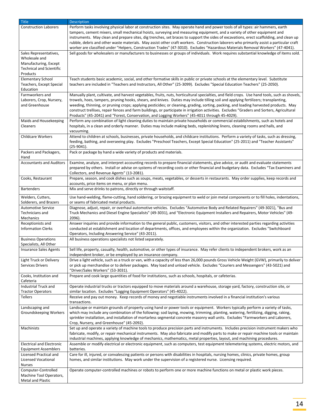| Perform tasks involving physical labor at construction sites. May operate hand and power tools of all types: air hammers, earth<br><b>Construction Laborers</b><br>tampers, cement mixers, small mechanical hoists, surveying and measuring equipment, and a variety of other equipment and<br>instruments. May clean and prepare sites, dig trenches, set braces to support the sides of excavations, erect scaffolding, and clean up<br>rubble, debris and other waste materials. May assist other craft workers. Construction laborers who primarily assist a particular craft<br>worker are classified under "Helpers, Construction Trades" (47-3010). Excludes "Hazardous Materials Removal Workers" (47-4041).<br>Sell goods for wholesalers or manufacturers to businesses or groups of individuals. Work requires substantial knowledge of items sold.<br>Sales Representatives,<br>Wholesale and<br>Manufacturing, Except<br><b>Technical and Scientific</b><br>Products<br><b>Elementary School</b><br>Teach students basic academic, social, and other formative skills in public or private schools at the elementary level. Substitute<br>teachers are included in "Teachers and Instructors, All Other" (25-3099). Excludes "Special Education Teachers" (25-2050).<br>Teachers, Except Special<br>Education<br>Farmworkers and<br>Manually plant, cultivate, and harvest vegetables, fruits, nuts, horticultural specialties, and field crops. Use hand tools, such as shovels,<br>trowels, hoes, tampers, pruning hooks, shears, and knives. Duties may include tilling soil and applying fertilizers; transplanting,<br>Laborers, Crop, Nursery,<br>weeding, thinning, or pruning crops; applying pesticides; or cleaning, grading, sorting, packing, and loading harvested products. May<br>and Greenhouse<br>construct trellises, repair fences and farm buildings, or participate in irrigation activities. Excludes "Graders and Sorters, Agricultural<br>Products" (45-2041) and "Forest, Conservation, and Logging Workers" (45-4011 through 45-4029).<br>Perform any combination of light cleaning duties to maintain private households or commercial establishments, such as hotels and<br>Maids and Housekeeping<br>Cleaners<br>hospitals, in a clean and orderly manner. Duties may include making beds, replenishing linens, cleaning rooms and halls, and<br>vacuuming.<br>Attend to children at schools, businesses, private households, and childcare institutions. Perform a variety of tasks, such as dressing,<br><b>Childcare Workers</b><br>feeding, bathing, and overseeing play. Excludes "Preschool Teachers, Except Special Education" (25-2011) and "Teacher Assistants"<br>$(25-9041).$<br>Packers and Packagers,<br>Pack or package by hand a wide variety of products and materials.<br>Hand<br>Examine, analyze, and interpret accounting records to prepare financial statements, give advice, or audit and evaluate statements<br><b>Accountants and Auditors</b><br>prepared by others. Install or advise on systems of recording costs or other financial and budgetary data. Excludes "Tax Examiners and<br>Collectors, and Revenue Agents" (13-2081).<br>Cooks, Restaurant<br>Prepare, season, and cook dishes such as soups, meats, vegetables, or desserts in restaurants. May order supplies, keep records and<br>accounts, price items on menu, or plan menu.<br>Mix and serve drinks to patrons, directly or through waitstaff.<br><b>Bartenders</b><br>Use hand-welding, flame-cutting, hand soldering, or brazing equipment to weld or join metal components or to fill holes, indentations,<br>Welders, Cutters,<br>or seams of fabricated metal products.<br>Solderers, and Brazers<br>Diagnose, adjust, repair, or overhaul automotive vehicles. Excludes "Automotive Body and Related Repairers" (49-3021), "Bus and<br><b>Automotive Service</b><br>Technicians and<br>Truck Mechanics and Diesel Engine Specialists" (49-3031), and "Electronic Equipment Installers and Repairers, Motor Vehicles" (49-<br>Mechanics<br>2096).<br>Answer inquiries and provide information to the general public, customers, visitors, and other interested parties regarding activities<br>Receptionists and<br><b>Information Clerks</b><br>conducted at establishment and location of departments, offices, and employees within the organization. Excludes "Switchboard<br>Operators, Including Answering Service" (43-2011).<br><b>Business Operations</b><br>All business operations specialists not listed separately.<br>Specialists, All Other<br>Sell life, property, casualty, health, automotive, or other types of insurance. May refer clients to independent brokers, work as an<br><b>Insurance Sales Agents</b><br>independent broker, or be employed by an insurance company.<br>Drive a light vehicle, such as a truck or van, with a capacity of less than 26,000 pounds Gross Vehicle Weight (GVW), primarily to deliver<br>Light Truck or Delivery<br>or pick up merchandise or to deliver packages. May load and unload vehicle. Excludes "Couriers and Messengers" (43-5021) and<br>Services Drivers<br>"Driver/Sales Workers" (53-3031).<br>Prepare and cook large quantities of food for institutions, such as schools, hospitals, or cafeterias.<br>Cooks, Institution and<br>Cafeteria<br>Operate industrial trucks or tractors equipped to move materials around a warehouse, storage yard, factory, construction site, or<br>Industrial Truck and<br>similar location. Excludes "Logging Equipment Operators" (45-4022).<br><b>Tractor Operators</b><br>Receive and pay out money. Keep records of money and negotiable instruments involved in a financial institution's various<br><b>Tellers</b><br>transactions.<br>Landscaping and<br>Landscape or maintain grounds of property using hand or power tools or equipment. Workers typically perform a variety of tasks,<br>which may include any combination of the following: sod laying, mowing, trimming, planting, watering, fertilizing, digging, raking,<br>Groundskeeping Workers<br>sprinkler installation, and installation of mortarless segmental concrete masonry wall units. Excludes "Farmworkers and Laborers,<br>Crop, Nursery, and Greenhouse" (45-2092).<br>Set up and operate a variety of machine tools to produce precision parts and instruments. Includes precision instrument makers who<br>Machinists<br>fabricate, modify, or repair mechanical instruments. May also fabricate and modify parts to make or repair machine tools or maintain<br>industrial machines, applying knowledge of mechanics, mathematics, metal properties, layout, and machining procedures.<br><b>Electrical and Electronic</b><br>Assemble or modify electrical or electronic equipment, such as computers, test equipment telemetering systems, electric motors, and<br><b>Equipment Assemblers</b><br>batteries.<br>Care for ill, injured, or convalescing patients or persons with disabilities in hospitals, nursing homes, clinics, private homes, group<br>Licensed Practical and<br><b>Licensed Vocational</b><br>homes, and similar institutions. May work under the supervision of a registered nurse. Licensing required.<br><b>Nurses</b><br>Computer-Controlled<br>Operate computer-controlled machines or robots to perform one or more machine functions on metal or plastic work pieces.<br>Machine Tool Operators, | <b>Title</b>      | <b>Description</b> |
|-----------------------------------------------------------------------------------------------------------------------------------------------------------------------------------------------------------------------------------------------------------------------------------------------------------------------------------------------------------------------------------------------------------------------------------------------------------------------------------------------------------------------------------------------------------------------------------------------------------------------------------------------------------------------------------------------------------------------------------------------------------------------------------------------------------------------------------------------------------------------------------------------------------------------------------------------------------------------------------------------------------------------------------------------------------------------------------------------------------------------------------------------------------------------------------------------------------------------------------------------------------------------------------------------------------------------------------------------------------------------------------------------------------------------------------------------------------------------------------------------------------------------------------------------------------------------------------------------------------------------------------------------------------------------------------------------------------------------------------------------------------------------------------------------------------------------------------------------------------------------------------------------------------------------------------------------------------------------------------------------------------------------------------------------------------------------------------------------------------------------------------------------------------------------------------------------------------------------------------------------------------------------------------------------------------------------------------------------------------------------------------------------------------------------------------------------------------------------------------------------------------------------------------------------------------------------------------------------------------------------------------------------------------------------------------------------------------------------------------------------------------------------------------------------------------------------------------------------------------------------------------------------------------------------------------------------------------------------------------------------------------------------------------------------------------------------------------------------------------------------------------------------------------------------------------------------------------------------------------------------------------------------------------------------------------------------------------------------------------------------------------------------------------------------------------------------------------------------------------------------------------------------------------------------------------------------------------------------------------------------------------------------------------------------------------------------------------------------------------------------------------------------------------------------------------------------------------------------------------------------------------------------------------------------------------------------------------------------------------------------------------------------------------------------------------------------------------------------------------------------------------------------------------------------------------------------------------------------------------------------------------------------------------------------------------------------------------------------------------------------------------------------------------------------------------------------------------------------------------------------------------------------------------------------------------------------------------------------------------------------------------------------------------------------------------------------------------------------------------------------------------------------------------------------------------------------------------------------------------------------------------------------------------------------------------------------------------------------------------------------------------------------------------------------------------------------------------------------------------------------------------------------------------------------------------------------------------------------------------------------------------------------------------------------------------------------------------------------------------------------------------------------------------------------------------------------------------------------------------------------------------------------------------------------------------------------------------------------------------------------------------------------------------------------------------------------------------------------------------------------------------------------------------------------------------------------------------------------------------------------------------------------------------------------------------------------------------------------------------------------------------------------------------------------------------------------------------------------------------------------------------------------------------------------------------------------------------------------------------------------------------------------------------------------------------------------------------------------------------------------------------------------------------------------------------------------------------------------------------------------------------------------------------------------------------------------------------------------------------------------------------------------------------------------------------------------------------------------------------------------------------------------------------------------------------------------------------------------------------------------------------------------------------------------------------------------------------------------------------------------------------------------------------------------------------------------------------------------------------------------------------------------------------------------------------------------------------------------------------------------------------------------------------------------------------------------------------------------------------------------------------------------------------------------------------------------------------------------------|-------------------|--------------------|
|                                                                                                                                                                                                                                                                                                                                                                                                                                                                                                                                                                                                                                                                                                                                                                                                                                                                                                                                                                                                                                                                                                                                                                                                                                                                                                                                                                                                                                                                                                                                                                                                                                                                                                                                                                                                                                                                                                                                                                                                                                                                                                                                                                                                                                                                                                                                                                                                                                                                                                                                                                                                                                                                                                                                                                                                                                                                                                                                                                                                                                                                                                                                                                                                                                                                                                                                                                                                                                                                                                                                                                                                                                                                                                                                                                                                                                                                                                                                                                                                                                                                                                                                                                                                                                                                                                                                                                                                                                                                                                                                                                                                                                                                                                                                                                                                                                                                                                                                                                                                                                                                                                                                                                                                                                                                                                                                                                                                                                                                                                                                                                                                                                                                                                                                                                                                                                                                                                                                                                                                                                                                                                                                                                                                                                                                                                                                                                                                                                                                                                                                                                                                                                                                                                                                                                                                                                                                                                                                                                                                                                                                                                                                                                                                                                                                                                                                                                                                                                                                             |                   |                    |
|                                                                                                                                                                                                                                                                                                                                                                                                                                                                                                                                                                                                                                                                                                                                                                                                                                                                                                                                                                                                                                                                                                                                                                                                                                                                                                                                                                                                                                                                                                                                                                                                                                                                                                                                                                                                                                                                                                                                                                                                                                                                                                                                                                                                                                                                                                                                                                                                                                                                                                                                                                                                                                                                                                                                                                                                                                                                                                                                                                                                                                                                                                                                                                                                                                                                                                                                                                                                                                                                                                                                                                                                                                                                                                                                                                                                                                                                                                                                                                                                                                                                                                                                                                                                                                                                                                                                                                                                                                                                                                                                                                                                                                                                                                                                                                                                                                                                                                                                                                                                                                                                                                                                                                                                                                                                                                                                                                                                                                                                                                                                                                                                                                                                                                                                                                                                                                                                                                                                                                                                                                                                                                                                                                                                                                                                                                                                                                                                                                                                                                                                                                                                                                                                                                                                                                                                                                                                                                                                                                                                                                                                                                                                                                                                                                                                                                                                                                                                                                                                             |                   |                    |
|                                                                                                                                                                                                                                                                                                                                                                                                                                                                                                                                                                                                                                                                                                                                                                                                                                                                                                                                                                                                                                                                                                                                                                                                                                                                                                                                                                                                                                                                                                                                                                                                                                                                                                                                                                                                                                                                                                                                                                                                                                                                                                                                                                                                                                                                                                                                                                                                                                                                                                                                                                                                                                                                                                                                                                                                                                                                                                                                                                                                                                                                                                                                                                                                                                                                                                                                                                                                                                                                                                                                                                                                                                                                                                                                                                                                                                                                                                                                                                                                                                                                                                                                                                                                                                                                                                                                                                                                                                                                                                                                                                                                                                                                                                                                                                                                                                                                                                                                                                                                                                                                                                                                                                                                                                                                                                                                                                                                                                                                                                                                                                                                                                                                                                                                                                                                                                                                                                                                                                                                                                                                                                                                                                                                                                                                                                                                                                                                                                                                                                                                                                                                                                                                                                                                                                                                                                                                                                                                                                                                                                                                                                                                                                                                                                                                                                                                                                                                                                                                             |                   |                    |
|                                                                                                                                                                                                                                                                                                                                                                                                                                                                                                                                                                                                                                                                                                                                                                                                                                                                                                                                                                                                                                                                                                                                                                                                                                                                                                                                                                                                                                                                                                                                                                                                                                                                                                                                                                                                                                                                                                                                                                                                                                                                                                                                                                                                                                                                                                                                                                                                                                                                                                                                                                                                                                                                                                                                                                                                                                                                                                                                                                                                                                                                                                                                                                                                                                                                                                                                                                                                                                                                                                                                                                                                                                                                                                                                                                                                                                                                                                                                                                                                                                                                                                                                                                                                                                                                                                                                                                                                                                                                                                                                                                                                                                                                                                                                                                                                                                                                                                                                                                                                                                                                                                                                                                                                                                                                                                                                                                                                                                                                                                                                                                                                                                                                                                                                                                                                                                                                                                                                                                                                                                                                                                                                                                                                                                                                                                                                                                                                                                                                                                                                                                                                                                                                                                                                                                                                                                                                                                                                                                                                                                                                                                                                                                                                                                                                                                                                                                                                                                                                             |                   |                    |
|                                                                                                                                                                                                                                                                                                                                                                                                                                                                                                                                                                                                                                                                                                                                                                                                                                                                                                                                                                                                                                                                                                                                                                                                                                                                                                                                                                                                                                                                                                                                                                                                                                                                                                                                                                                                                                                                                                                                                                                                                                                                                                                                                                                                                                                                                                                                                                                                                                                                                                                                                                                                                                                                                                                                                                                                                                                                                                                                                                                                                                                                                                                                                                                                                                                                                                                                                                                                                                                                                                                                                                                                                                                                                                                                                                                                                                                                                                                                                                                                                                                                                                                                                                                                                                                                                                                                                                                                                                                                                                                                                                                                                                                                                                                                                                                                                                                                                                                                                                                                                                                                                                                                                                                                                                                                                                                                                                                                                                                                                                                                                                                                                                                                                                                                                                                                                                                                                                                                                                                                                                                                                                                                                                                                                                                                                                                                                                                                                                                                                                                                                                                                                                                                                                                                                                                                                                                                                                                                                                                                                                                                                                                                                                                                                                                                                                                                                                                                                                                                             |                   |                    |
|                                                                                                                                                                                                                                                                                                                                                                                                                                                                                                                                                                                                                                                                                                                                                                                                                                                                                                                                                                                                                                                                                                                                                                                                                                                                                                                                                                                                                                                                                                                                                                                                                                                                                                                                                                                                                                                                                                                                                                                                                                                                                                                                                                                                                                                                                                                                                                                                                                                                                                                                                                                                                                                                                                                                                                                                                                                                                                                                                                                                                                                                                                                                                                                                                                                                                                                                                                                                                                                                                                                                                                                                                                                                                                                                                                                                                                                                                                                                                                                                                                                                                                                                                                                                                                                                                                                                                                                                                                                                                                                                                                                                                                                                                                                                                                                                                                                                                                                                                                                                                                                                                                                                                                                                                                                                                                                                                                                                                                                                                                                                                                                                                                                                                                                                                                                                                                                                                                                                                                                                                                                                                                                                                                                                                                                                                                                                                                                                                                                                                                                                                                                                                                                                                                                                                                                                                                                                                                                                                                                                                                                                                                                                                                                                                                                                                                                                                                                                                                                                             |                   |                    |
|                                                                                                                                                                                                                                                                                                                                                                                                                                                                                                                                                                                                                                                                                                                                                                                                                                                                                                                                                                                                                                                                                                                                                                                                                                                                                                                                                                                                                                                                                                                                                                                                                                                                                                                                                                                                                                                                                                                                                                                                                                                                                                                                                                                                                                                                                                                                                                                                                                                                                                                                                                                                                                                                                                                                                                                                                                                                                                                                                                                                                                                                                                                                                                                                                                                                                                                                                                                                                                                                                                                                                                                                                                                                                                                                                                                                                                                                                                                                                                                                                                                                                                                                                                                                                                                                                                                                                                                                                                                                                                                                                                                                                                                                                                                                                                                                                                                                                                                                                                                                                                                                                                                                                                                                                                                                                                                                                                                                                                                                                                                                                                                                                                                                                                                                                                                                                                                                                                                                                                                                                                                                                                                                                                                                                                                                                                                                                                                                                                                                                                                                                                                                                                                                                                                                                                                                                                                                                                                                                                                                                                                                                                                                                                                                                                                                                                                                                                                                                                                                             |                   |                    |
|                                                                                                                                                                                                                                                                                                                                                                                                                                                                                                                                                                                                                                                                                                                                                                                                                                                                                                                                                                                                                                                                                                                                                                                                                                                                                                                                                                                                                                                                                                                                                                                                                                                                                                                                                                                                                                                                                                                                                                                                                                                                                                                                                                                                                                                                                                                                                                                                                                                                                                                                                                                                                                                                                                                                                                                                                                                                                                                                                                                                                                                                                                                                                                                                                                                                                                                                                                                                                                                                                                                                                                                                                                                                                                                                                                                                                                                                                                                                                                                                                                                                                                                                                                                                                                                                                                                                                                                                                                                                                                                                                                                                                                                                                                                                                                                                                                                                                                                                                                                                                                                                                                                                                                                                                                                                                                                                                                                                                                                                                                                                                                                                                                                                                                                                                                                                                                                                                                                                                                                                                                                                                                                                                                                                                                                                                                                                                                                                                                                                                                                                                                                                                                                                                                                                                                                                                                                                                                                                                                                                                                                                                                                                                                                                                                                                                                                                                                                                                                                                             |                   |                    |
|                                                                                                                                                                                                                                                                                                                                                                                                                                                                                                                                                                                                                                                                                                                                                                                                                                                                                                                                                                                                                                                                                                                                                                                                                                                                                                                                                                                                                                                                                                                                                                                                                                                                                                                                                                                                                                                                                                                                                                                                                                                                                                                                                                                                                                                                                                                                                                                                                                                                                                                                                                                                                                                                                                                                                                                                                                                                                                                                                                                                                                                                                                                                                                                                                                                                                                                                                                                                                                                                                                                                                                                                                                                                                                                                                                                                                                                                                                                                                                                                                                                                                                                                                                                                                                                                                                                                                                                                                                                                                                                                                                                                                                                                                                                                                                                                                                                                                                                                                                                                                                                                                                                                                                                                                                                                                                                                                                                                                                                                                                                                                                                                                                                                                                                                                                                                                                                                                                                                                                                                                                                                                                                                                                                                                                                                                                                                                                                                                                                                                                                                                                                                                                                                                                                                                                                                                                                                                                                                                                                                                                                                                                                                                                                                                                                                                                                                                                                                                                                                             |                   |                    |
|                                                                                                                                                                                                                                                                                                                                                                                                                                                                                                                                                                                                                                                                                                                                                                                                                                                                                                                                                                                                                                                                                                                                                                                                                                                                                                                                                                                                                                                                                                                                                                                                                                                                                                                                                                                                                                                                                                                                                                                                                                                                                                                                                                                                                                                                                                                                                                                                                                                                                                                                                                                                                                                                                                                                                                                                                                                                                                                                                                                                                                                                                                                                                                                                                                                                                                                                                                                                                                                                                                                                                                                                                                                                                                                                                                                                                                                                                                                                                                                                                                                                                                                                                                                                                                                                                                                                                                                                                                                                                                                                                                                                                                                                                                                                                                                                                                                                                                                                                                                                                                                                                                                                                                                                                                                                                                                                                                                                                                                                                                                                                                                                                                                                                                                                                                                                                                                                                                                                                                                                                                                                                                                                                                                                                                                                                                                                                                                                                                                                                                                                                                                                                                                                                                                                                                                                                                                                                                                                                                                                                                                                                                                                                                                                                                                                                                                                                                                                                                                                             |                   |                    |
|                                                                                                                                                                                                                                                                                                                                                                                                                                                                                                                                                                                                                                                                                                                                                                                                                                                                                                                                                                                                                                                                                                                                                                                                                                                                                                                                                                                                                                                                                                                                                                                                                                                                                                                                                                                                                                                                                                                                                                                                                                                                                                                                                                                                                                                                                                                                                                                                                                                                                                                                                                                                                                                                                                                                                                                                                                                                                                                                                                                                                                                                                                                                                                                                                                                                                                                                                                                                                                                                                                                                                                                                                                                                                                                                                                                                                                                                                                                                                                                                                                                                                                                                                                                                                                                                                                                                                                                                                                                                                                                                                                                                                                                                                                                                                                                                                                                                                                                                                                                                                                                                                                                                                                                                                                                                                                                                                                                                                                                                                                                                                                                                                                                                                                                                                                                                                                                                                                                                                                                                                                                                                                                                                                                                                                                                                                                                                                                                                                                                                                                                                                                                                                                                                                                                                                                                                                                                                                                                                                                                                                                                                                                                                                                                                                                                                                                                                                                                                                                                             |                   |                    |
|                                                                                                                                                                                                                                                                                                                                                                                                                                                                                                                                                                                                                                                                                                                                                                                                                                                                                                                                                                                                                                                                                                                                                                                                                                                                                                                                                                                                                                                                                                                                                                                                                                                                                                                                                                                                                                                                                                                                                                                                                                                                                                                                                                                                                                                                                                                                                                                                                                                                                                                                                                                                                                                                                                                                                                                                                                                                                                                                                                                                                                                                                                                                                                                                                                                                                                                                                                                                                                                                                                                                                                                                                                                                                                                                                                                                                                                                                                                                                                                                                                                                                                                                                                                                                                                                                                                                                                                                                                                                                                                                                                                                                                                                                                                                                                                                                                                                                                                                                                                                                                                                                                                                                                                                                                                                                                                                                                                                                                                                                                                                                                                                                                                                                                                                                                                                                                                                                                                                                                                                                                                                                                                                                                                                                                                                                                                                                                                                                                                                                                                                                                                                                                                                                                                                                                                                                                                                                                                                                                                                                                                                                                                                                                                                                                                                                                                                                                                                                                                                             |                   |                    |
|                                                                                                                                                                                                                                                                                                                                                                                                                                                                                                                                                                                                                                                                                                                                                                                                                                                                                                                                                                                                                                                                                                                                                                                                                                                                                                                                                                                                                                                                                                                                                                                                                                                                                                                                                                                                                                                                                                                                                                                                                                                                                                                                                                                                                                                                                                                                                                                                                                                                                                                                                                                                                                                                                                                                                                                                                                                                                                                                                                                                                                                                                                                                                                                                                                                                                                                                                                                                                                                                                                                                                                                                                                                                                                                                                                                                                                                                                                                                                                                                                                                                                                                                                                                                                                                                                                                                                                                                                                                                                                                                                                                                                                                                                                                                                                                                                                                                                                                                                                                                                                                                                                                                                                                                                                                                                                                                                                                                                                                                                                                                                                                                                                                                                                                                                                                                                                                                                                                                                                                                                                                                                                                                                                                                                                                                                                                                                                                                                                                                                                                                                                                                                                                                                                                                                                                                                                                                                                                                                                                                                                                                                                                                                                                                                                                                                                                                                                                                                                                                             |                   |                    |
|                                                                                                                                                                                                                                                                                                                                                                                                                                                                                                                                                                                                                                                                                                                                                                                                                                                                                                                                                                                                                                                                                                                                                                                                                                                                                                                                                                                                                                                                                                                                                                                                                                                                                                                                                                                                                                                                                                                                                                                                                                                                                                                                                                                                                                                                                                                                                                                                                                                                                                                                                                                                                                                                                                                                                                                                                                                                                                                                                                                                                                                                                                                                                                                                                                                                                                                                                                                                                                                                                                                                                                                                                                                                                                                                                                                                                                                                                                                                                                                                                                                                                                                                                                                                                                                                                                                                                                                                                                                                                                                                                                                                                                                                                                                                                                                                                                                                                                                                                                                                                                                                                                                                                                                                                                                                                                                                                                                                                                                                                                                                                                                                                                                                                                                                                                                                                                                                                                                                                                                                                                                                                                                                                                                                                                                                                                                                                                                                                                                                                                                                                                                                                                                                                                                                                                                                                                                                                                                                                                                                                                                                                                                                                                                                                                                                                                                                                                                                                                                                             |                   |                    |
|                                                                                                                                                                                                                                                                                                                                                                                                                                                                                                                                                                                                                                                                                                                                                                                                                                                                                                                                                                                                                                                                                                                                                                                                                                                                                                                                                                                                                                                                                                                                                                                                                                                                                                                                                                                                                                                                                                                                                                                                                                                                                                                                                                                                                                                                                                                                                                                                                                                                                                                                                                                                                                                                                                                                                                                                                                                                                                                                                                                                                                                                                                                                                                                                                                                                                                                                                                                                                                                                                                                                                                                                                                                                                                                                                                                                                                                                                                                                                                                                                                                                                                                                                                                                                                                                                                                                                                                                                                                                                                                                                                                                                                                                                                                                                                                                                                                                                                                                                                                                                                                                                                                                                                                                                                                                                                                                                                                                                                                                                                                                                                                                                                                                                                                                                                                                                                                                                                                                                                                                                                                                                                                                                                                                                                                                                                                                                                                                                                                                                                                                                                                                                                                                                                                                                                                                                                                                                                                                                                                                                                                                                                                                                                                                                                                                                                                                                                                                                                                                             |                   |                    |
|                                                                                                                                                                                                                                                                                                                                                                                                                                                                                                                                                                                                                                                                                                                                                                                                                                                                                                                                                                                                                                                                                                                                                                                                                                                                                                                                                                                                                                                                                                                                                                                                                                                                                                                                                                                                                                                                                                                                                                                                                                                                                                                                                                                                                                                                                                                                                                                                                                                                                                                                                                                                                                                                                                                                                                                                                                                                                                                                                                                                                                                                                                                                                                                                                                                                                                                                                                                                                                                                                                                                                                                                                                                                                                                                                                                                                                                                                                                                                                                                                                                                                                                                                                                                                                                                                                                                                                                                                                                                                                                                                                                                                                                                                                                                                                                                                                                                                                                                                                                                                                                                                                                                                                                                                                                                                                                                                                                                                                                                                                                                                                                                                                                                                                                                                                                                                                                                                                                                                                                                                                                                                                                                                                                                                                                                                                                                                                                                                                                                                                                                                                                                                                                                                                                                                                                                                                                                                                                                                                                                                                                                                                                                                                                                                                                                                                                                                                                                                                                                             |                   |                    |
|                                                                                                                                                                                                                                                                                                                                                                                                                                                                                                                                                                                                                                                                                                                                                                                                                                                                                                                                                                                                                                                                                                                                                                                                                                                                                                                                                                                                                                                                                                                                                                                                                                                                                                                                                                                                                                                                                                                                                                                                                                                                                                                                                                                                                                                                                                                                                                                                                                                                                                                                                                                                                                                                                                                                                                                                                                                                                                                                                                                                                                                                                                                                                                                                                                                                                                                                                                                                                                                                                                                                                                                                                                                                                                                                                                                                                                                                                                                                                                                                                                                                                                                                                                                                                                                                                                                                                                                                                                                                                                                                                                                                                                                                                                                                                                                                                                                                                                                                                                                                                                                                                                                                                                                                                                                                                                                                                                                                                                                                                                                                                                                                                                                                                                                                                                                                                                                                                                                                                                                                                                                                                                                                                                                                                                                                                                                                                                                                                                                                                                                                                                                                                                                                                                                                                                                                                                                                                                                                                                                                                                                                                                                                                                                                                                                                                                                                                                                                                                                                             |                   |                    |
|                                                                                                                                                                                                                                                                                                                                                                                                                                                                                                                                                                                                                                                                                                                                                                                                                                                                                                                                                                                                                                                                                                                                                                                                                                                                                                                                                                                                                                                                                                                                                                                                                                                                                                                                                                                                                                                                                                                                                                                                                                                                                                                                                                                                                                                                                                                                                                                                                                                                                                                                                                                                                                                                                                                                                                                                                                                                                                                                                                                                                                                                                                                                                                                                                                                                                                                                                                                                                                                                                                                                                                                                                                                                                                                                                                                                                                                                                                                                                                                                                                                                                                                                                                                                                                                                                                                                                                                                                                                                                                                                                                                                                                                                                                                                                                                                                                                                                                                                                                                                                                                                                                                                                                                                                                                                                                                                                                                                                                                                                                                                                                                                                                                                                                                                                                                                                                                                                                                                                                                                                                                                                                                                                                                                                                                                                                                                                                                                                                                                                                                                                                                                                                                                                                                                                                                                                                                                                                                                                                                                                                                                                                                                                                                                                                                                                                                                                                                                                                                                             |                   |                    |
|                                                                                                                                                                                                                                                                                                                                                                                                                                                                                                                                                                                                                                                                                                                                                                                                                                                                                                                                                                                                                                                                                                                                                                                                                                                                                                                                                                                                                                                                                                                                                                                                                                                                                                                                                                                                                                                                                                                                                                                                                                                                                                                                                                                                                                                                                                                                                                                                                                                                                                                                                                                                                                                                                                                                                                                                                                                                                                                                                                                                                                                                                                                                                                                                                                                                                                                                                                                                                                                                                                                                                                                                                                                                                                                                                                                                                                                                                                                                                                                                                                                                                                                                                                                                                                                                                                                                                                                                                                                                                                                                                                                                                                                                                                                                                                                                                                                                                                                                                                                                                                                                                                                                                                                                                                                                                                                                                                                                                                                                                                                                                                                                                                                                                                                                                                                                                                                                                                                                                                                                                                                                                                                                                                                                                                                                                                                                                                                                                                                                                                                                                                                                                                                                                                                                                                                                                                                                                                                                                                                                                                                                                                                                                                                                                                                                                                                                                                                                                                                                             |                   |                    |
|                                                                                                                                                                                                                                                                                                                                                                                                                                                                                                                                                                                                                                                                                                                                                                                                                                                                                                                                                                                                                                                                                                                                                                                                                                                                                                                                                                                                                                                                                                                                                                                                                                                                                                                                                                                                                                                                                                                                                                                                                                                                                                                                                                                                                                                                                                                                                                                                                                                                                                                                                                                                                                                                                                                                                                                                                                                                                                                                                                                                                                                                                                                                                                                                                                                                                                                                                                                                                                                                                                                                                                                                                                                                                                                                                                                                                                                                                                                                                                                                                                                                                                                                                                                                                                                                                                                                                                                                                                                                                                                                                                                                                                                                                                                                                                                                                                                                                                                                                                                                                                                                                                                                                                                                                                                                                                                                                                                                                                                                                                                                                                                                                                                                                                                                                                                                                                                                                                                                                                                                                                                                                                                                                                                                                                                                                                                                                                                                                                                                                                                                                                                                                                                                                                                                                                                                                                                                                                                                                                                                                                                                                                                                                                                                                                                                                                                                                                                                                                                                             |                   |                    |
|                                                                                                                                                                                                                                                                                                                                                                                                                                                                                                                                                                                                                                                                                                                                                                                                                                                                                                                                                                                                                                                                                                                                                                                                                                                                                                                                                                                                                                                                                                                                                                                                                                                                                                                                                                                                                                                                                                                                                                                                                                                                                                                                                                                                                                                                                                                                                                                                                                                                                                                                                                                                                                                                                                                                                                                                                                                                                                                                                                                                                                                                                                                                                                                                                                                                                                                                                                                                                                                                                                                                                                                                                                                                                                                                                                                                                                                                                                                                                                                                                                                                                                                                                                                                                                                                                                                                                                                                                                                                                                                                                                                                                                                                                                                                                                                                                                                                                                                                                                                                                                                                                                                                                                                                                                                                                                                                                                                                                                                                                                                                                                                                                                                                                                                                                                                                                                                                                                                                                                                                                                                                                                                                                                                                                                                                                                                                                                                                                                                                                                                                                                                                                                                                                                                                                                                                                                                                                                                                                                                                                                                                                                                                                                                                                                                                                                                                                                                                                                                                             |                   |                    |
|                                                                                                                                                                                                                                                                                                                                                                                                                                                                                                                                                                                                                                                                                                                                                                                                                                                                                                                                                                                                                                                                                                                                                                                                                                                                                                                                                                                                                                                                                                                                                                                                                                                                                                                                                                                                                                                                                                                                                                                                                                                                                                                                                                                                                                                                                                                                                                                                                                                                                                                                                                                                                                                                                                                                                                                                                                                                                                                                                                                                                                                                                                                                                                                                                                                                                                                                                                                                                                                                                                                                                                                                                                                                                                                                                                                                                                                                                                                                                                                                                                                                                                                                                                                                                                                                                                                                                                                                                                                                                                                                                                                                                                                                                                                                                                                                                                                                                                                                                                                                                                                                                                                                                                                                                                                                                                                                                                                                                                                                                                                                                                                                                                                                                                                                                                                                                                                                                                                                                                                                                                                                                                                                                                                                                                                                                                                                                                                                                                                                                                                                                                                                                                                                                                                                                                                                                                                                                                                                                                                                                                                                                                                                                                                                                                                                                                                                                                                                                                                                             |                   |                    |
|                                                                                                                                                                                                                                                                                                                                                                                                                                                                                                                                                                                                                                                                                                                                                                                                                                                                                                                                                                                                                                                                                                                                                                                                                                                                                                                                                                                                                                                                                                                                                                                                                                                                                                                                                                                                                                                                                                                                                                                                                                                                                                                                                                                                                                                                                                                                                                                                                                                                                                                                                                                                                                                                                                                                                                                                                                                                                                                                                                                                                                                                                                                                                                                                                                                                                                                                                                                                                                                                                                                                                                                                                                                                                                                                                                                                                                                                                                                                                                                                                                                                                                                                                                                                                                                                                                                                                                                                                                                                                                                                                                                                                                                                                                                                                                                                                                                                                                                                                                                                                                                                                                                                                                                                                                                                                                                                                                                                                                                                                                                                                                                                                                                                                                                                                                                                                                                                                                                                                                                                                                                                                                                                                                                                                                                                                                                                                                                                                                                                                                                                                                                                                                                                                                                                                                                                                                                                                                                                                                                                                                                                                                                                                                                                                                                                                                                                                                                                                                                                             |                   |                    |
|                                                                                                                                                                                                                                                                                                                                                                                                                                                                                                                                                                                                                                                                                                                                                                                                                                                                                                                                                                                                                                                                                                                                                                                                                                                                                                                                                                                                                                                                                                                                                                                                                                                                                                                                                                                                                                                                                                                                                                                                                                                                                                                                                                                                                                                                                                                                                                                                                                                                                                                                                                                                                                                                                                                                                                                                                                                                                                                                                                                                                                                                                                                                                                                                                                                                                                                                                                                                                                                                                                                                                                                                                                                                                                                                                                                                                                                                                                                                                                                                                                                                                                                                                                                                                                                                                                                                                                                                                                                                                                                                                                                                                                                                                                                                                                                                                                                                                                                                                                                                                                                                                                                                                                                                                                                                                                                                                                                                                                                                                                                                                                                                                                                                                                                                                                                                                                                                                                                                                                                                                                                                                                                                                                                                                                                                                                                                                                                                                                                                                                                                                                                                                                                                                                                                                                                                                                                                                                                                                                                                                                                                                                                                                                                                                                                                                                                                                                                                                                                                             |                   |                    |
|                                                                                                                                                                                                                                                                                                                                                                                                                                                                                                                                                                                                                                                                                                                                                                                                                                                                                                                                                                                                                                                                                                                                                                                                                                                                                                                                                                                                                                                                                                                                                                                                                                                                                                                                                                                                                                                                                                                                                                                                                                                                                                                                                                                                                                                                                                                                                                                                                                                                                                                                                                                                                                                                                                                                                                                                                                                                                                                                                                                                                                                                                                                                                                                                                                                                                                                                                                                                                                                                                                                                                                                                                                                                                                                                                                                                                                                                                                                                                                                                                                                                                                                                                                                                                                                                                                                                                                                                                                                                                                                                                                                                                                                                                                                                                                                                                                                                                                                                                                                                                                                                                                                                                                                                                                                                                                                                                                                                                                                                                                                                                                                                                                                                                                                                                                                                                                                                                                                                                                                                                                                                                                                                                                                                                                                                                                                                                                                                                                                                                                                                                                                                                                                                                                                                                                                                                                                                                                                                                                                                                                                                                                                                                                                                                                                                                                                                                                                                                                                                             |                   |                    |
|                                                                                                                                                                                                                                                                                                                                                                                                                                                                                                                                                                                                                                                                                                                                                                                                                                                                                                                                                                                                                                                                                                                                                                                                                                                                                                                                                                                                                                                                                                                                                                                                                                                                                                                                                                                                                                                                                                                                                                                                                                                                                                                                                                                                                                                                                                                                                                                                                                                                                                                                                                                                                                                                                                                                                                                                                                                                                                                                                                                                                                                                                                                                                                                                                                                                                                                                                                                                                                                                                                                                                                                                                                                                                                                                                                                                                                                                                                                                                                                                                                                                                                                                                                                                                                                                                                                                                                                                                                                                                                                                                                                                                                                                                                                                                                                                                                                                                                                                                                                                                                                                                                                                                                                                                                                                                                                                                                                                                                                                                                                                                                                                                                                                                                                                                                                                                                                                                                                                                                                                                                                                                                                                                                                                                                                                                                                                                                                                                                                                                                                                                                                                                                                                                                                                                                                                                                                                                                                                                                                                                                                                                                                                                                                                                                                                                                                                                                                                                                                                             |                   |                    |
|                                                                                                                                                                                                                                                                                                                                                                                                                                                                                                                                                                                                                                                                                                                                                                                                                                                                                                                                                                                                                                                                                                                                                                                                                                                                                                                                                                                                                                                                                                                                                                                                                                                                                                                                                                                                                                                                                                                                                                                                                                                                                                                                                                                                                                                                                                                                                                                                                                                                                                                                                                                                                                                                                                                                                                                                                                                                                                                                                                                                                                                                                                                                                                                                                                                                                                                                                                                                                                                                                                                                                                                                                                                                                                                                                                                                                                                                                                                                                                                                                                                                                                                                                                                                                                                                                                                                                                                                                                                                                                                                                                                                                                                                                                                                                                                                                                                                                                                                                                                                                                                                                                                                                                                                                                                                                                                                                                                                                                                                                                                                                                                                                                                                                                                                                                                                                                                                                                                                                                                                                                                                                                                                                                                                                                                                                                                                                                                                                                                                                                                                                                                                                                                                                                                                                                                                                                                                                                                                                                                                                                                                                                                                                                                                                                                                                                                                                                                                                                                                             | Metal and Plastic |                    |